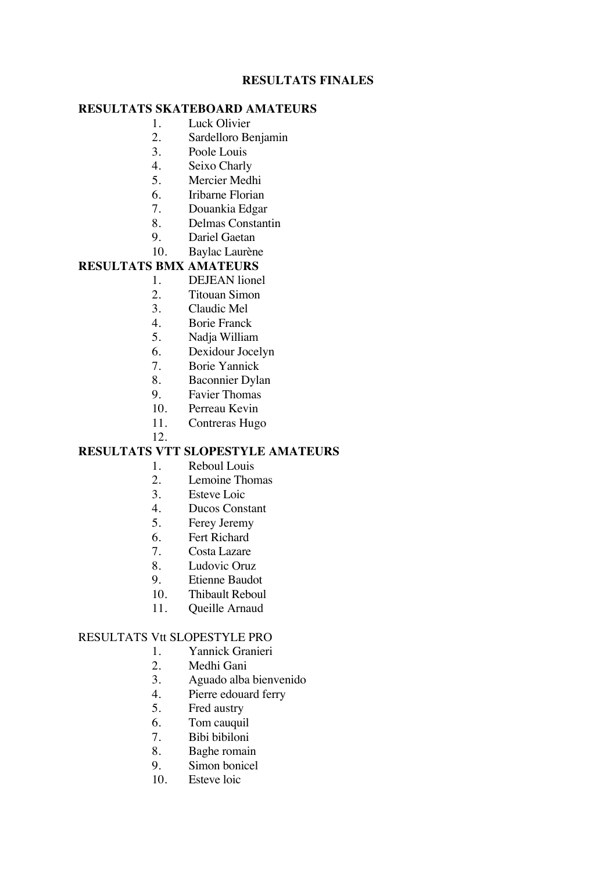## **RESULTATS FINALES**

## **RESULTATS SKATEBOARD AMATEURS**

- 1. Luck Olivier
- 2. Sardelloro Benjamin
- 3. Poole Louis
- 4. Seixo Charly
- 5. Mercier Medhi
- 6. Iribarne Florian
- 7. Douankia Edgar
- 8. Delmas Constantin
- 9. Dariel Gaetan
- 10. Baylac Laurène

## **RESULTATS BMX AMATEURS**

- 1. DEJEAN lionel
- 2. Titouan Simon
- 3. Claudic Mel
- 4. Borie Franck
- 5. Nadja William
- 6. Dexidour Jocelyn
- 7. Borie Yannick
- 
- 8. Baconnier Dylan<br>9. Favier Thomas 9. Favier Thomas
- 10. Perreau Kevin
- 11. Contreras Hugo
- 12.

# **RESULTATS VTT SLOPESTYLE AMATEURS**

- 1. Reboul Louis
- 2. Lemoine Thomas
- 3. Esteve Loic
- 4. Ducos Constant
- 5. Ferey Jeremy
- 6. Fert Richard<br>7. Costa Lazare
- Costa Lazare
- 8. Ludovic Oruz
- 9. Etienne Baudot
- 10. Thibault Reboul
- 11. Queille Arnaud

#### RESULTATS Vtt SLOPESTYLE PRO

- 1. Yannick Granieri
- 2. Medhi Gani
- 3. Aguado alba bienvenido
- 4. Pierre edouard ferry
- 5. Fred austry
- 6. Tom cauquil
- 7. Bibi bibiloni
- 8. Baghe romain
- 9. Simon bonicel
- 10. Esteve loic